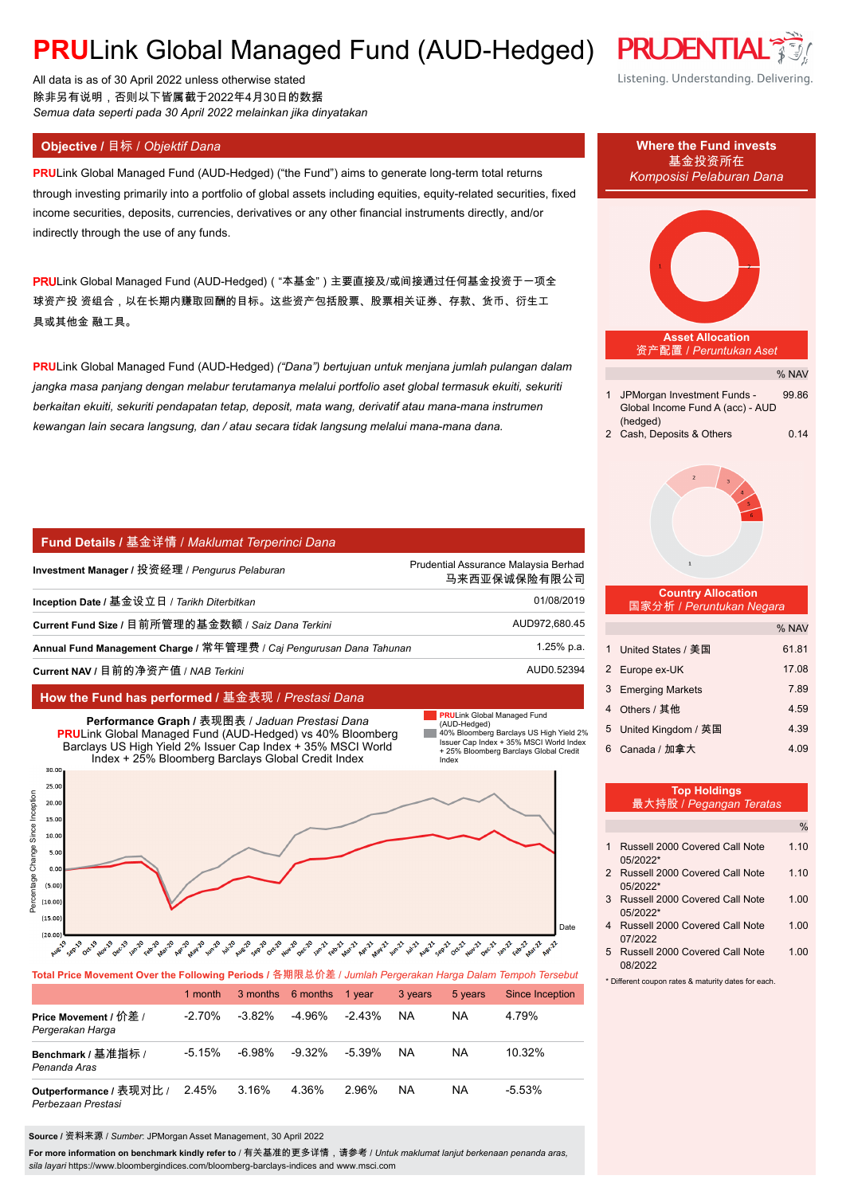# **PRU**Link Global Managed Fund (AUD-Hedged)

All data is as of 30 April 2022 unless otherwise stated 除非另有说明,否则以下皆属截于2022年4月30日的数据 *Semua data seperti pada 30 April 2022 melainkan jika dinyatakan*

**PRU**Link Global Managed Fund (AUD-Hedged) ("the Fund") aims to generate long-term total returns through investing primarily into a portfolio of global assets including equities, equity-related securities, fixed income securities, deposits, currencies, derivatives or any other financial instruments directly, and/or indirectly through the use of any funds.

PRULink Global Managed Fund (AUD-Hedged)( "本基金")主要直接及/或间接通过任何基金投资于一项全 球资产投 资组合,以在长期内赚取回酬的目标。这些资产包括股票、股票相关证券、存款、货币、衍生工 具或其他金 融工具。

**PRU**Link Global Managed Fund (AUD-Hedged) *("Dana") bertujuan untuk menjana jumlah pulangan dalam jangka masa panjang dengan melabur terutamanya melalui portfolio aset global termasuk ekuiti, sekuriti berkaitan ekuiti, sekuriti pendapatan tetap, deposit, mata wang, derivatif atau mana-mana instrumen kewangan lain secara langsung, dan / atau secara tidak langsung melalui mana-mana dana.*

#### **Fund Details /** 基金详情 / *Maklumat Terperinci Dana*

| Investment Manager / 投资经理 / <i>Penqurus Pelaburan</i>               | Prudential Assurance Malaysia Berhad<br>马来西亚保诚保险有限公司 |
|---------------------------------------------------------------------|------------------------------------------------------|
| Inception Date / 基金设立日 / Tarikh Diterbitkan                         | 01/08/2019                                           |
| Current Fund Size / 目前所管理的基金数额 / Saiz Dana Terkini                  | AUD972,680.45                                        |
| Annual Fund Management Charge / 常年管理费 / Cai Pengurusan Dana Tahunan | 1.25% p.a.                                           |
| Current NAV / 目前的净资产值 / NAB Terkini                                 | AUD0.52394                                           |

### **How the Fund has performed /** 基金表现 / *Prestasi Dana*



**Total Price Movement Over the Following Periods /** 各期限总价差 / *Jumlah Pergerakan Harga Dalam Tempoh Tersebut*

|                                               | 1 month   |           | 3 months 6 months | 1 vear    | 3 years   | 5 years | Since Inception |
|-----------------------------------------------|-----------|-----------|-------------------|-----------|-----------|---------|-----------------|
| Price Movement / 价差 /<br>Pergerakan Harga     | $-2.70\%$ | $-3.82\%$ | -4.96%            | $-2.43\%$ | NA.       | NA      | 4 79%           |
| Benchmark / 基准指标 /<br>Penanda Aras            | $-5.15%$  | -6.98%    | -9.32%            | -5.39%    | NA.       | ΝA      | 10.32%          |
| Outperformance / 表现对比 /<br>Perbezaan Prestasi | 2.45%     | 3.16%     | 4.36%             | 2.96%     | <b>NA</b> | NA      | $-5.53%$        |

**Source /** 资料来源 / *Sumber*: JPMorgan Asset Management, 30 April 2022

**For more information on benchmark kindly refer to** / 有关基准的更多详情,请参考 / *Untuk maklumat lanjut berkenaan penanda aras, sila layari* https://www.bloombergindices.com/bloomberg-barclays-indices and www.msci.com





| ------------          |      |
|-----------------------|------|
| 5 United Kingdom / 英国 | 4.39 |

6 Canada / 加拿大 4.09

**PRULink Global Managed Fund** 

|               | <b>Top Holdings</b><br>最大持股 / Pegangan Teratas |               |
|---------------|------------------------------------------------|---------------|
|               |                                                | $\frac{0}{0}$ |
| 1             | Russell 2000 Covered Call Note<br>05/2022*     | 1.10          |
| $\mathcal{P}$ | Russell 2000 Covered Call Note<br>05/2022*     | 1.10          |
| 3             | Russell 2000 Covered Call Note<br>05/2022*     | 1.00          |
| 4             | Russell 2000 Covered Call Note<br>07/2022      | 1.00          |
|               |                                                |               |

5 Russell 2000 Covered Call Note 1.00 08/2022

\* Different coupon rates & maturity dates for each.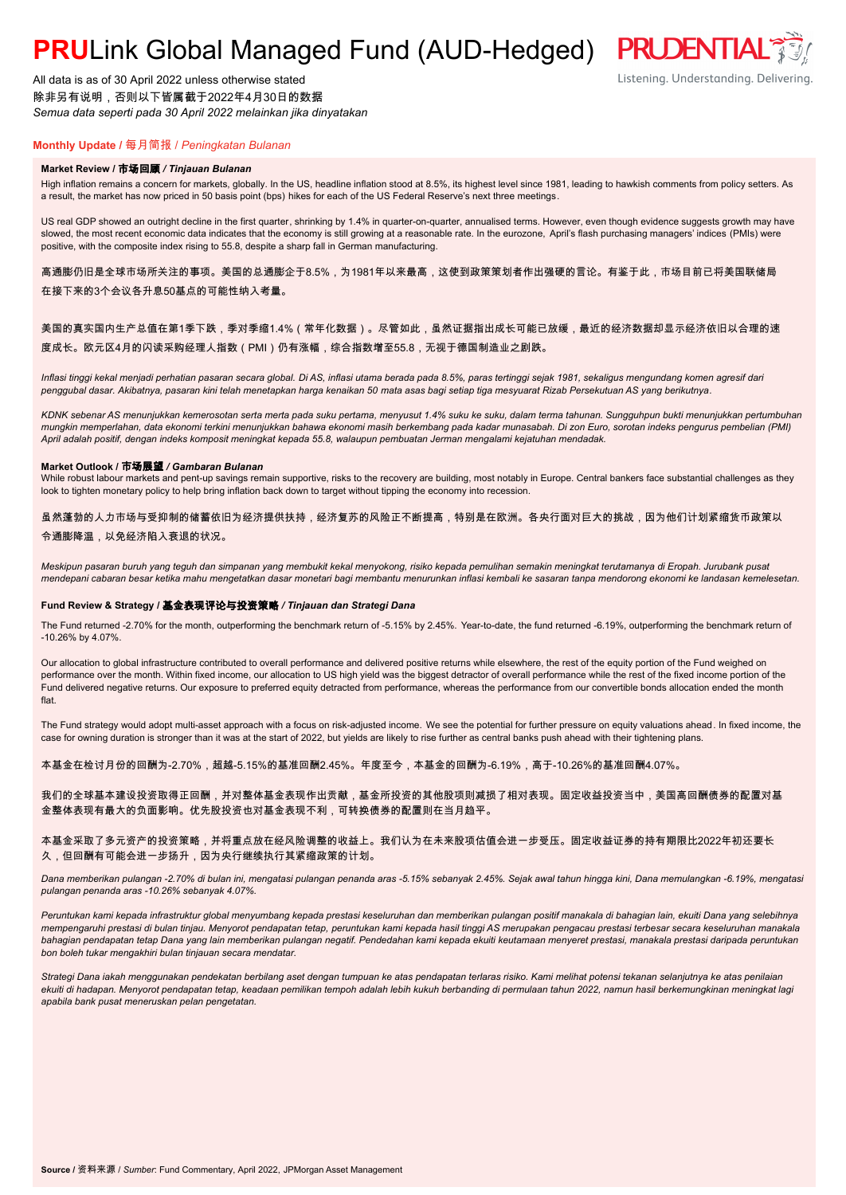# **PRULink Global Managed Fund (AUD-Hedged) PRUDENTIAL<sup>®</sup>**

All data is as of 30 April 2022 unless otherwise stated 除非另有说明,否则以下皆属截于2022年4月30日的数据 *Semua data seperti pada 30 April 2022 melainkan jika dinyatakan*

### **Monthly Update /** 每月简报 / *Peningkatan Bulanan*

#### **Market Review /** 市场回顾 */ Tinjauan Bulanan*

High inflation remains a concern for markets, globally. In the US, headline inflation stood at 8.5%, its highest level since 1981, leading to hawkish comments from policy setters. As a result, the market has now priced in 50 basis point (bps) hikes for each of the US Federal Reserve's next three meetings.

US real GDP showed an outright decline in the first quarter, shrinking by 1.4% in quarter-on-quarter, annualised terms. However, even though evidence suggests growth may have slowed, the most recent economic data indicates that the economy is still growing at a reasonable rate. In the eurozone, April's flash purchasing managers' indices (PMIs) were positive, with the composite index rising to 55.8, despite a sharp fall in German manufacturing.

高通膨仍旧是全球市场所关注的事项。美国的总通膨企于8.5%,为1981年以来最高,这使到政策策划者作出强硬的言论。有鉴于此,市场目前已将美国联储局 在接下来的3个会议各升息50基点的可能性纳入考量。

#### 美国的真实国内生产总值在第1季下跌,季对季缩1.4%(常年化数据)。尽管如此,虽然证据指出成长可能已放缓,最近的经济数据却显示经济依旧以合理的速 度成长。欧元区4月的闪读采购经理人指数(PMI)仍有涨幅,综合指数增至55.8,无视于德国制造业之剧跌。

*Inflasi tinggi kekal menjadi perhatian pasaran secara global. Di AS, inflasi utama berada pada 8.5%, paras tertinggi sejak 1981, sekaligus mengundang komen agresif dari penggubal dasar. Akibatnya, pasaran kini telah menetapkan harga kenaikan 50 mata asas bagi setiap tiga mesyuarat Rizab Persekutuan AS yang berikutnya.*

*KDNK sebenar AS menunjukkan kemerosotan serta merta pada suku pertama, menyusut 1.4% suku ke suku, dalam terma tahunan. Sungguhpun bukti menunjukkan pertumbuhan mungkin memperlahan, data ekonomi terkini menunjukkan bahawa ekonomi masih berkembang pada kadar munasabah. Di zon Euro, sorotan indeks pengurus pembelian (PMI) April adalah positif, dengan indeks komposit meningkat kepada 55.8, walaupun pembuatan Jerman mengalami kejatuhan mendadak.*

#### **Market Outlook /** 市场展望 */ Gambaran Bulanan*

While robust labour markets and pent-up savings remain supportive, risks to the recovery are building, most notably in Europe. Central bankers face substantial challenges as they look to tighten monetary policy to help bring inflation back down to target without tipping the economy into recession.

虽然蓬勃的人力市场与受抑制的储蓄依旧为经济提供扶持,经济复苏的风险正不断提高,特别是在欧洲。各央行面对巨大的挑战,因为他们计划紧缩货币政策以 令通膨降温,以免经济陷入衰退的状况。

*Meskipun pasaran buruh yang teguh dan simpanan yang membukit kekal menyokong, risiko kepada pemulihan semakin meningkat terutamanya di Eropah. Jurubank pusat mendepani cabaran besar ketika mahu mengetatkan dasar monetari bagi membantu menurunkan inflasi kembali ke sasaran tanpa mendorong ekonomi ke landasan kemelesetan.*

#### **Fund Review & Strategy /** 基金表现评论与投资策略 */ Tinjauan dan Strategi Dana*

The Fund returned -2.70% for the month, outperforming the benchmark return of -5.15% by 2.45%. Year-to-date, the fund returned -6.19%, outperforming the benchmark return of -10.26% by 4.07%.

Our allocation to global infrastructure contributed to overall performance and delivered positive returns while elsewhere, the rest of the equity portion of the Fund weighed on performance over the month. Within fixed income, our allocation to US high yield was the biggest detractor of overall performance while the rest of the fixed income portion of the Fund delivered negative returns. Our exposure to preferred equity detracted from performance, whereas the performance from our convertible bonds allocation ended the month flat.

The Fund strategy would adopt multi-asset approach with a focus on risk-adjusted income. We see the potential for further pressure on equity valuations ahead. In fixed income, the case for owning duration is stronger than it was at the start of 2022, but yields are likely to rise further as central banks push ahead with their tightening plans.

本基金在检讨月份的回酬为-2.70%,超越-5.15%的基准回酬2.45%。年度至今,本基金的回酬为-6.19%,高于-10.26%的基准回酬4.07%。

我们的全球基本建设投资取得正回酬,并对整体基金表现作出贡献,基金所投资的其他股项则减损了相对表现。固定收益投资当中,美国高回酬债券的配置对基 金整体表现有最大的负面影响。优先股投资也对基金表现不利,可转换债券的配置则在当月趋平。

本基金采取了多元资产的投资策略,并将重点放在经风险调整的收益上。我们认为在未来股项估值会进一步受压。固定收益证券的持有期限比2022年初还要长 久,但回酬有可能会进一步扬升,因为央行继续执行其紧缩政策的计划。

*Dana memberikan pulangan -2.70% di bulan ini, mengatasi pulangan penanda aras -5.15% sebanyak 2.45%. Sejak awal tahun hingga kini, Dana memulangkan -6.19%, mengatasi pulangan penanda aras -10.26% sebanyak 4.07%.*

Peruntukan kami kepada infrastruktur global menyumbang kepada prestasi keseluruhan dan memberikan pulangan positif manakala di bahagian lain, ekuiti Dana yang selebihnya *mempengaruhi prestasi di bulan tinjau. Menyorot pendapatan tetap, peruntukan kami kepada hasil tinggi AS merupakan pengacau prestasi terbesar secara keseluruhan manakala bahagian pendapatan tetap Dana yang lain memberikan pulangan negatif. Pendedahan kami kepada ekuiti keutamaan menyeret prestasi, manakala prestasi daripada peruntukan bon boleh tukar mengakhiri bulan tinjauan secara mendatar.*

*Strategi Dana iakah menggunakan pendekatan berbilang aset dengan tumpuan ke atas pendapatan terlaras risiko. Kami melihat potensi tekanan selanjutnya ke atas penilaian ekuiti di hadapan. Menyorot pendapatan tetap, keadaan pemilikan tempoh adalah lebih kukuh berbanding di permulaan tahun 2022, namun hasil berkemungkinan meningkat lagi apabila bank pusat meneruskan pelan pengetatan.*